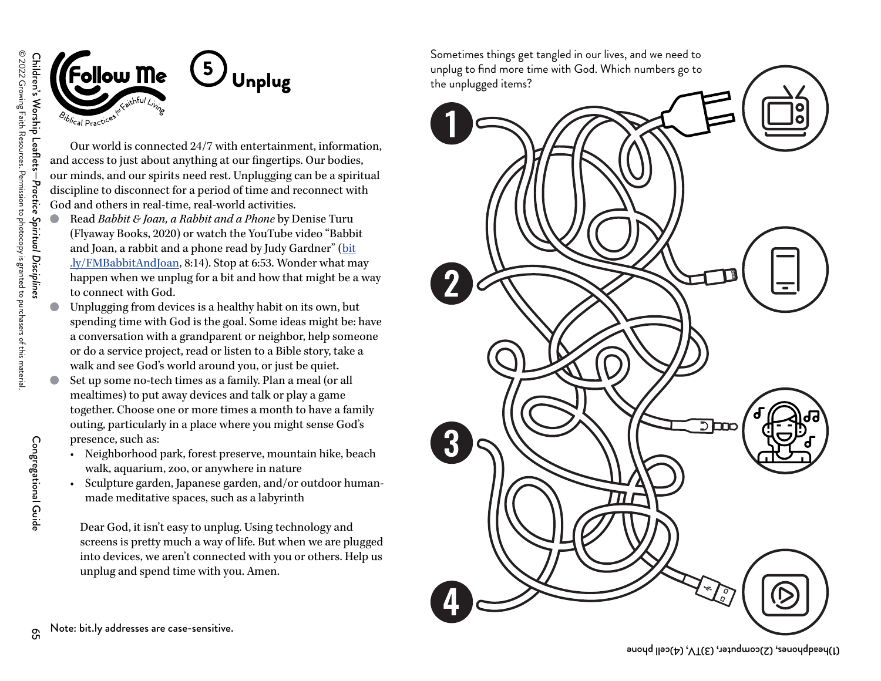Congregational Guide

Congregational Guide



Our world is connected 24/7 with entertainment, information, and access to just about anything at our fingertips. Our bodies, our minds, and our spirits need rest. Unplugging can be a spiritual discipline to disconnect for a period of time and reconnect with God and others in real-time, real-world activities.

- Read *Babbit & Joan, a Rabbit and a Phone* by Denise Turu (Flyaway Books, 2020) or watch the YouTube video "Babbit and Joan, a rabbit and a phone read by Judy Gardner" ([bit](https://www.youtube.com/watch?v=jSVa4XqJ2Vg) [.ly/FMBabbitAndJoan](https://www.youtube.com/watch?v=jSVa4XqJ2Vg), 8:14). Stop at 6:53. Wonder what may happen when we unplug for a bit and how that might be a way to connect with God.
- Unplugging from devices is a healthy habit on its own, but spending time with God is the goal. Some ideas might be: have a conversation with a grandparent or neighbor, help someone or do a service project, read or listen to a Bible story, take a walk and see God's world around you, or just be quiet.
- Set up some no-tech times as a family. Plan a meal (or all mealtimes) to put away devices and talk or play a game together. Choose one or more times a month to have a family outing, particularly in a place where you might sense God's presence, such as:
	- • Neighborhood park, forest preserve, mountain hike, beach walk, aquarium, zoo, or anywhere in nature
	- Sculpture garden, Japanese garden, and/or outdoor humanmade meditative spaces, such as a labyrinth

Dear God, it isn't easy to unplug. Using technology and screens is pretty much a way of life. But when we are plugged into devices, we aren't connected with you or others. Help us unplug and spend time with you. Amen.